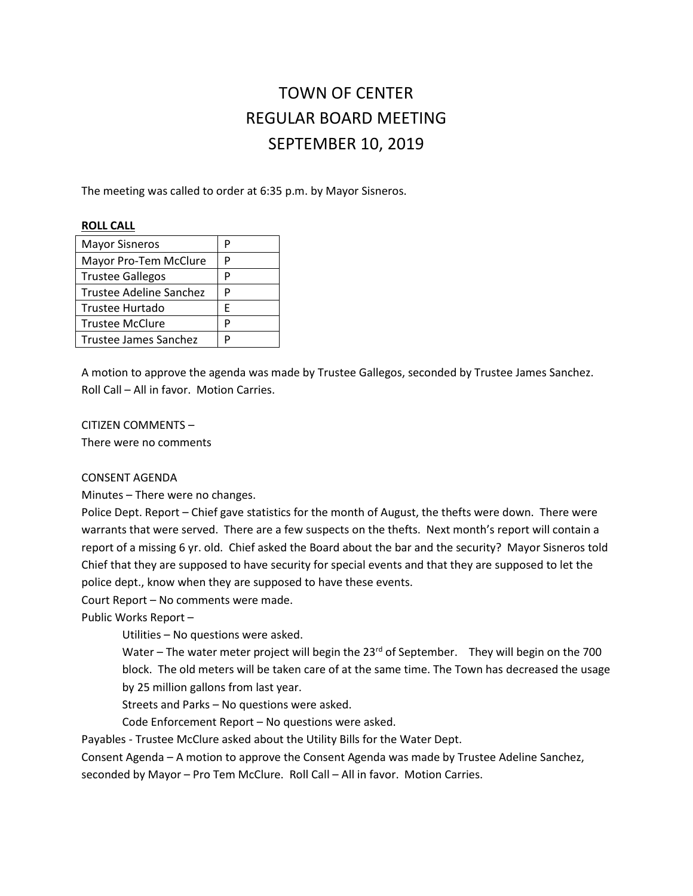# TOWN OF CENTER REGULAR BOARD MEETING SEPTEMBER 10, 2019

The meeting was called to order at 6:35 p.m. by Mayor Sisneros.

#### **ROLL CALL**

| <b>Mayor Sisneros</b>   | Р |
|-------------------------|---|
| Mayor Pro-Tem McClure   | P |
| <b>Trustee Gallegos</b> | P |
| Trustee Adeline Sanchez | P |
| Trustee Hurtado         | F |
| <b>Trustee McClure</b>  | P |
| Trustee James Sanchez   | D |

A motion to approve the agenda was made by Trustee Gallegos, seconded by Trustee James Sanchez. Roll Call – All in favor. Motion Carries.

CITIZEN COMMENTS –

There were no comments

## CONSENT AGENDA

Minutes – There were no changes.

Police Dept. Report – Chief gave statistics for the month of August, the thefts were down. There were warrants that were served. There are a few suspects on the thefts. Next month's report will contain a report of a missing 6 yr. old. Chief asked the Board about the bar and the security? Mayor Sisneros told Chief that they are supposed to have security for special events and that they are supposed to let the police dept., know when they are supposed to have these events.

Court Report – No comments were made.

Public Works Report –

Utilities – No questions were asked.

Water – The water meter project will begin the  $23^{rd}$  of September. They will begin on the 700 block. The old meters will be taken care of at the same time. The Town has decreased the usage by 25 million gallons from last year.

Streets and Parks – No questions were asked.

Code Enforcement Report – No questions were asked.

Payables - Trustee McClure asked about the Utility Bills for the Water Dept.

Consent Agenda – A motion to approve the Consent Agenda was made by Trustee Adeline Sanchez,

seconded by Mayor – Pro Tem McClure. Roll Call – All in favor. Motion Carries.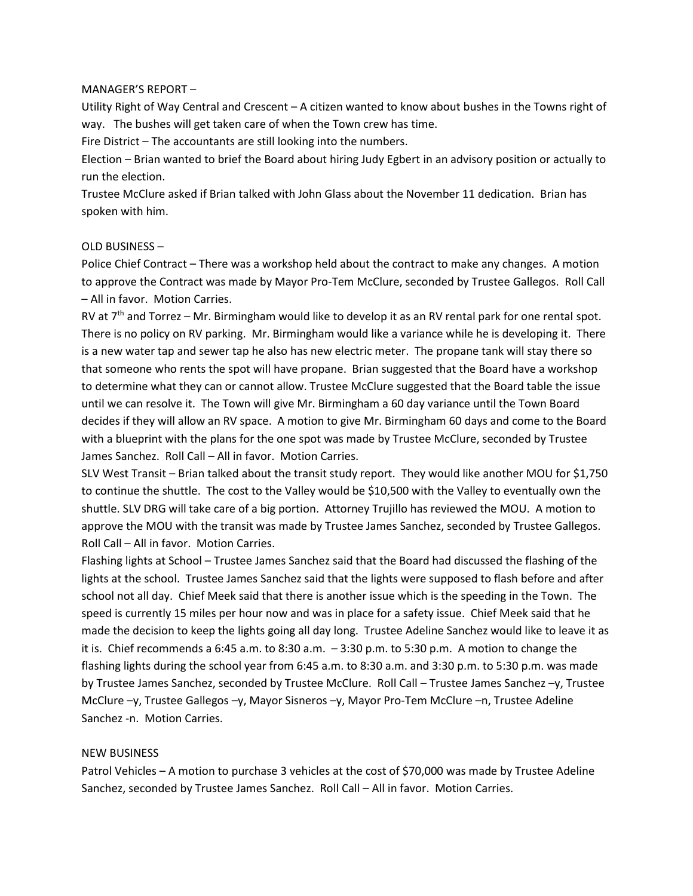#### MANAGER'S REPORT –

Utility Right of Way Central and Crescent – A citizen wanted to know about bushes in the Towns right of way. The bushes will get taken care of when the Town crew has time.

Fire District – The accountants are still looking into the numbers.

Election – Brian wanted to brief the Board about hiring Judy Egbert in an advisory position or actually to run the election.

Trustee McClure asked if Brian talked with John Glass about the November 11 dedication. Brian has spoken with him.

#### OLD BUSINESS –

Police Chief Contract – There was a workshop held about the contract to make any changes. A motion to approve the Contract was made by Mayor Pro-Tem McClure, seconded by Trustee Gallegos. Roll Call – All in favor. Motion Carries.

RV at 7<sup>th</sup> and Torrez – Mr. Birmingham would like to develop it as an RV rental park for one rental spot. There is no policy on RV parking. Mr. Birmingham would like a variance while he is developing it. There is a new water tap and sewer tap he also has new electric meter. The propane tank will stay there so that someone who rents the spot will have propane. Brian suggested that the Board have a workshop to determine what they can or cannot allow. Trustee McClure suggested that the Board table the issue until we can resolve it. The Town will give Mr. Birmingham a 60 day variance until the Town Board decides if they will allow an RV space. A motion to give Mr. Birmingham 60 days and come to the Board with a blueprint with the plans for the one spot was made by Trustee McClure, seconded by Trustee James Sanchez. Roll Call – All in favor. Motion Carries.

SLV West Transit – Brian talked about the transit study report. They would like another MOU for \$1,750 to continue the shuttle. The cost to the Valley would be \$10,500 with the Valley to eventually own the shuttle. SLV DRG will take care of a big portion. Attorney Trujillo has reviewed the MOU. A motion to approve the MOU with the transit was made by Trustee James Sanchez, seconded by Trustee Gallegos. Roll Call – All in favor. Motion Carries.

Flashing lights at School – Trustee James Sanchez said that the Board had discussed the flashing of the lights at the school. Trustee James Sanchez said that the lights were supposed to flash before and after school not all day. Chief Meek said that there is another issue which is the speeding in the Town. The speed is currently 15 miles per hour now and was in place for a safety issue. Chief Meek said that he made the decision to keep the lights going all day long. Trustee Adeline Sanchez would like to leave it as it is. Chief recommends a 6:45 a.m. to 8:30 a.m. – 3:30 p.m. to 5:30 p.m. A motion to change the flashing lights during the school year from 6:45 a.m. to 8:30 a.m. and 3:30 p.m. to 5:30 p.m. was made by Trustee James Sanchez, seconded by Trustee McClure. Roll Call – Trustee James Sanchez –y, Trustee McClure –y, Trustee Gallegos –y, Mayor Sisneros –y, Mayor Pro-Tem McClure –n, Trustee Adeline Sanchez -n. Motion Carries.

## NEW BUSINESS

Patrol Vehicles – A motion to purchase 3 vehicles at the cost of \$70,000 was made by Trustee Adeline Sanchez, seconded by Trustee James Sanchez. Roll Call – All in favor. Motion Carries.